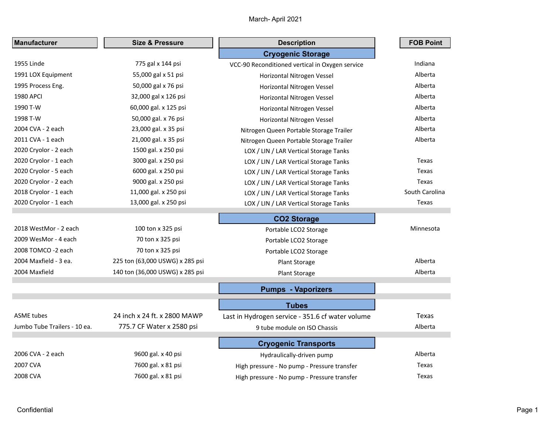| <b>Manufacturer</b>          | <b>Size &amp; Pressure</b>      | <b>Description</b>                               | <b>FOB Point</b> |
|------------------------------|---------------------------------|--------------------------------------------------|------------------|
|                              |                                 | <b>Cryogenic Storage</b>                         |                  |
| 1955 Linde                   | 775 gal x 144 psi               | VCC-90 Reconditioned vertical in Oxygen service  | Indiana          |
| 1991 LOX Equipment           | 55,000 gal x 51 psi             | Horizontal Nitrogen Vessel                       | Alberta          |
| 1995 Process Eng.            | 50,000 gal x 76 psi             | Horizontal Nitrogen Vessel                       | Alberta          |
| <b>1980 APCI</b>             | 32,000 gal x 126 psi            | Horizontal Nitrogen Vessel                       | Alberta          |
| 1990 T-W                     | 60,000 gal. x 125 psi           | Horizontal Nitrogen Vessel                       | Alberta          |
| 1998 T-W                     | 50,000 gal. x 76 psi            | Horizontal Nitrogen Vessel                       | Alberta          |
| 2004 CVA - 2 each            | 23,000 gal. x 35 psi            | Nitrogen Queen Portable Storage Trailer          | Alberta          |
| 2011 CVA - 1 each            | 21,000 gal. x 35 psi            | Nitrogen Queen Portable Storage Trailer          | Alberta          |
| 2020 Cryolor - 2 each        | 1500 gal. x 250 psi             | LOX / LIN / LAR Vertical Storage Tanks           |                  |
| 2020 Cryolor - 1 each        | 3000 gal. x 250 psi             | LOX / LIN / LAR Vertical Storage Tanks           | Texas            |
| 2020 Cryolor - 5 each        | 6000 gal. x 250 psi             | LOX / LIN / LAR Vertical Storage Tanks           | Texas            |
| 2020 Cryolor - 2 each        | 9000 gal. x 250 psi             | LOX / LIN / LAR Vertical Storage Tanks           | Texas            |
| 2018 Cryolor - 1 each        | 11,000 gal. x 250 psi           | LOX / LIN / LAR Vertical Storage Tanks           | South Carolina   |
| 2020 Cryolor - 1 each        | 13,000 gal. x 250 psi           | LOX / LIN / LAR Vertical Storage Tanks           | Texas            |
|                              |                                 | <b>CO2 Storage</b>                               |                  |
| 2018 WestMor - 2 each        | 100 ton x 325 psi               | Portable LCO2 Storage                            | Minnesota        |
| 2009 WesMor - 4 each         | 70 ton x 325 psi                | Portable LCO2 Storage                            |                  |
| 2008 TOMCO -2 each           | 70 ton x 325 psi                | Portable LCO2 Storage                            |                  |
| 2004 Maxfield - 3 ea.        | 225 ton (63,000 USWG) x 285 psi | Plant Storage                                    | Alberta          |
| 2004 Maxfield                | 140 ton (36,000 USWG) x 285 psi | Plant Storage                                    | Alberta          |
|                              |                                 | <b>Pumps - Vaporizers</b>                        |                  |
|                              |                                 | <b>Tubes</b>                                     |                  |
| <b>ASME</b> tubes            | 24 inch x 24 ft. x 2800 MAWP    | Last in Hydrogen service - 351.6 cf water volume | Texas            |
| Jumbo Tube Trailers - 10 ea. | 775.7 CF Water x 2580 psi       | 9 tube module on ISO Chassis                     | Alberta          |
|                              |                                 | <b>Cryogenic Transports</b>                      |                  |
| 2006 CVA - 2 each            | 9600 gal. x 40 psi              | Hydraulically-driven pump                        | Alberta          |
| 2007 CVA                     | 7600 gal. x 81 psi              | High pressure - No pump - Pressure transfer      | Texas            |
| 2008 CVA                     | 7600 gal. x 81 psi              | High pressure - No pump - Pressure transfer      | Texas            |